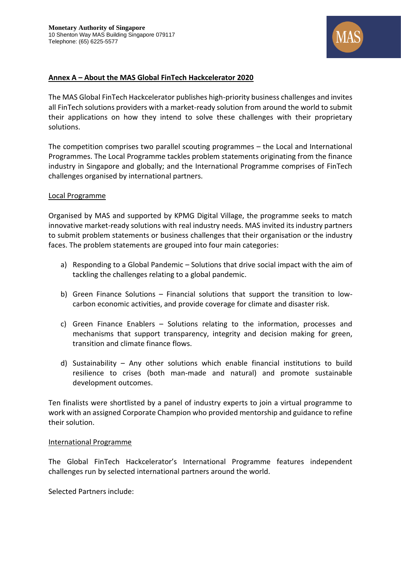

## **Annex A – About the MAS Global FinTech Hackcelerator 2020**

The MAS Global FinTech Hackcelerator publishes high-priority business challenges and invites all FinTech solutions providers with a market-ready solution from around the world to submit their applications on how they intend to solve these challenges with their proprietary solutions.

The competition comprises two parallel scouting programmes – the Local and International Programmes. The Local Programme tackles problem statements originating from the finance industry in Singapore and globally; and the International Programme comprises of FinTech challenges organised by international partners.

### Local Programme

Organised by MAS and supported by KPMG Digital Village, the programme seeks to match innovative market-ready solutions with real industry needs. MAS invited its industry partners to submit problem statements or business challenges that their organisation or the industry faces. The problem statements are grouped into four main categories:

- a) Responding to a Global Pandemic Solutions that drive social impact with the aim of tackling the challenges relating to a global pandemic.
- b) Green Finance Solutions Financial solutions that support the transition to lowcarbon economic activities, and provide coverage for climate and disaster risk.
- c) Green Finance Enablers Solutions relating to the information, processes and mechanisms that support transparency, integrity and decision making for green, transition and climate finance flows.
- d) Sustainability Any other solutions which enable financial institutions to build resilience to crises (both man-made and natural) and promote sustainable development outcomes.

Ten finalists were shortlisted by a panel of industry experts to join a virtual programme to work with an assigned Corporate Champion who provided mentorship and guidance to refine their solution.

#### International Programme

The Global FinTech Hackcelerator's International Programme features independent challenges run by selected international partners around the world.

Selected Partners include: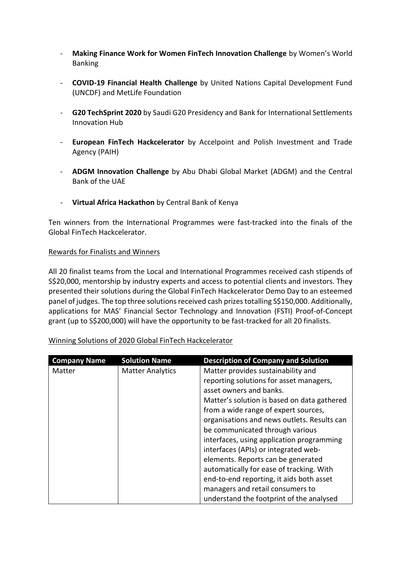- **Making Finance Work for Women FinTech Innovation Challenge** by Women's World Banking
- **COVID-19 Financial Health Challenge** by United Nations Capital Development Fund (UNCDF) and MetLife Foundation
- **G20 TechSprint 2020** by Saudi G20 Presidency and Bank for International Settlements Innovation Hub
- **European FinTech Hackcelerator** by Accelpoint and Polish Investment and Trade Agency (PAIH)
- **ADGM Innovation Challenge** by Abu Dhabi Global Market (ADGM) and the Central Bank of the UAE
- **Virtual Africa Hackathon** by Central Bank of Kenya

Ten winners from the International Programmes were fast-tracked into the finals of the Global FinTech Hackcelerator.

## Rewards for Finalists and Winners

All 20 finalist teams from the Local and International Programmes received cash stipends of S\$20,000, mentorship by industry experts and access to potential clients and investors. They presented their solutions during the Global FinTech Hackcelerator Demo Day to an esteemed panel of judges. The top three solutions received cash prizes totalling S\$150,000. Additionally, applications for MAS' Financial Sector Technology and Innovation (FSTI) Proof-of-Concept grant (up to S\$200,000) will have the opportunity to be fast-tracked for all 20 finalists.

| Winning Solutions of 2020 Global FinTech Hackcelerator |  |
|--------------------------------------------------------|--|
|                                                        |  |

| <b>Company Name</b> | <b>Solution Name</b>    | <b>Description of Company and Solution</b>  |
|---------------------|-------------------------|---------------------------------------------|
| Matter              | <b>Matter Analytics</b> | Matter provides sustainability and          |
|                     |                         | reporting solutions for asset managers,     |
|                     |                         | asset owners and banks.                     |
|                     |                         | Matter's solution is based on data gathered |
|                     |                         | from a wide range of expert sources,        |
|                     |                         | organisations and news outlets. Results can |
|                     |                         | be communicated through various             |
|                     |                         | interfaces, using application programming   |
|                     |                         | interfaces (APIs) or integrated web-        |
|                     |                         | elements. Reports can be generated          |
|                     |                         | automatically for ease of tracking. With    |
|                     |                         | end-to-end reporting, it aids both asset    |
|                     |                         | managers and retail consumers to            |
|                     |                         | understand the footprint of the analysed    |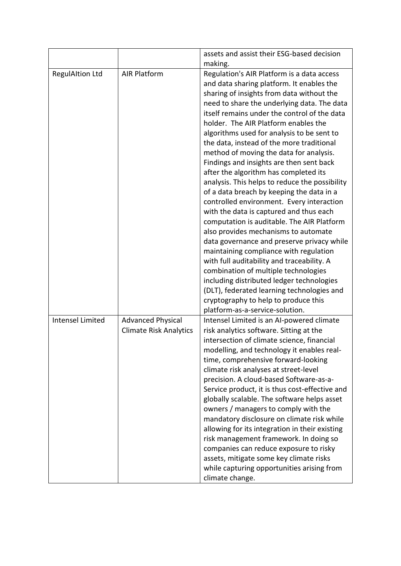|                         |                                                           | assets and assist their ESG-based decision<br>making.                                                                                                                                                                                                                                                                                                                                                                                                                                                                                                                                                                                                                                                                                                                                                                                                                                                                                                                                                                                                                                                                                   |
|-------------------------|-----------------------------------------------------------|-----------------------------------------------------------------------------------------------------------------------------------------------------------------------------------------------------------------------------------------------------------------------------------------------------------------------------------------------------------------------------------------------------------------------------------------------------------------------------------------------------------------------------------------------------------------------------------------------------------------------------------------------------------------------------------------------------------------------------------------------------------------------------------------------------------------------------------------------------------------------------------------------------------------------------------------------------------------------------------------------------------------------------------------------------------------------------------------------------------------------------------------|
| <b>RegulAItion Ltd</b>  | <b>AIR Platform</b>                                       | Regulation's AIR Platform is a data access<br>and data sharing platform. It enables the<br>sharing of insights from data without the<br>need to share the underlying data. The data<br>itself remains under the control of the data<br>holder. The AIR Platform enables the<br>algorithms used for analysis to be sent to<br>the data, instead of the more traditional<br>method of moving the data for analysis.<br>Findings and insights are then sent back<br>after the algorithm has completed its<br>analysis. This helps to reduce the possibility<br>of a data breach by keeping the data in a<br>controlled environment. Every interaction<br>with the data is captured and thus each<br>computation is auditable. The AIR Platform<br>also provides mechanisms to automate<br>data governance and preserve privacy while<br>maintaining compliance with regulation<br>with full auditability and traceability. A<br>combination of multiple technologies<br>including distributed ledger technologies<br>(DLT), federated learning technologies and<br>cryptography to help to produce this<br>platform-as-a-service-solution. |
| <b>Intensel Limited</b> | <b>Advanced Physical</b><br><b>Climate Risk Analytics</b> | Intensel Limited is an AI-powered climate<br>risk analytics software. Sitting at the<br>intersection of climate science, financial<br>modelling, and technology it enables real-<br>time, comprehensive forward-looking<br>climate risk analyses at street-level<br>precision. A cloud-based Software-as-a-<br>Service product, it is thus cost-effective and<br>globally scalable. The software helps asset<br>owners / managers to comply with the<br>mandatory disclosure on climate risk while<br>allowing for its integration in their existing<br>risk management framework. In doing so<br>companies can reduce exposure to risky<br>assets, mitigate some key climate risks<br>while capturing opportunities arising from<br>climate change.                                                                                                                                                                                                                                                                                                                                                                                    |